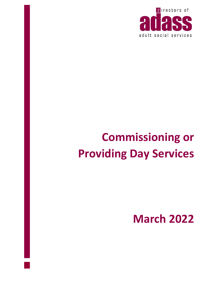

# **Commissioning or Providing Day Services**

# **March 2022**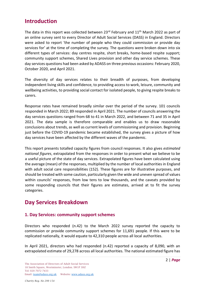## **Introduction**

The data in this report was collected between 23<sup>rd</sup> February and 11<sup>th</sup> March 2022 as part of an online survey sent to every Director of Adult Social Services (DASS) in England. Directors were asked to report 'the number of people who they could commission or provide day services for' at the time of completing the survey. The questions were broken down into six different types of services: day centres respite, short breaks, home-based respite support; community support schemes, Shared Lives provision and other day service schemes. These day services questions had been asked by ADASS on three previous occasions: February 2020, October 2020, and April 2021.

The diversity of day services relates to their breadth of purposes, from developing independent living skills and confidence, to providing access to work, leisure, community and wellbeing activities, to providing social contact for isolated people, to giving respite breaks to carers.

Response rates have remained broadly similar over the period of the survey. 101 councils responded in March 2022; 89 responded in April 2021. The number of councils answering the day services questions ranged from 68 to 41 in March 2022, and between 71 and 35 in April 2021. The data sample is therefore comparable and enables us to draw reasonable conclusions about trends, as well as current levels of commissioning and provision. Beginning just before the COVID-19 pandemic became established, the survey gives a picture of how day services have been affected by the different waves of the pandemic.

This report presents totalled capacity figures from council responses. It also gives *estimated national figures*, extrapolated from the responses in order to present what we believe to be a useful picture of the state of day services. Extrapolated figures have been calculated using the average (mean) of the responses, multiplied by the number of local authorities in England with adult social care responsibilities (152). These figures are for illustrative purposes, and should be treated with some caution, particularly given the wide and uneven spread of values within councils' responses, from low tens to low thousands, and the caveats provided by some responding councils that their figures are estimates, arrived at to fit the survey categories.

## **Day Services Breakdown**

#### **1. Day Services: community support schemes**

Directors who responded (n.42) to the March 2022 survey reported the capacity to commission or provide community support schemes for 11,691 people. If this were to be replicated nationally, it would equate to 42,310 people across all local authorities.

In April 2021, directors who had responded (n.42) reported a capacity of 8,090, with an extrapolated estimate of 29,278 across all local authorities. The national estimated figure has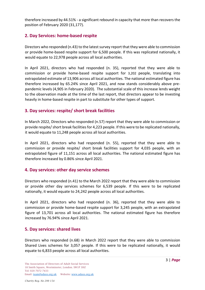therefore increased by 44.51% - a significant rebound in capacity that more than recovers the position of February 2020 (31,177).

#### **2. Day Services: home-based respite**

Directors who responded (n.43) to the latest survey report that they were able to commission or provide home-based respite support for 6,500 people. If this was replicated nationally, it would equate to 22,978 people across all local authorities.

In April 2021, directors who had responded (n. 35), reported that they were able to commission or provide home-based respite support for 3,202 people, translating into extrapolated estimate of 13,906 across all local authorities. The national estimated figure has therefore increased by 65.24% since April 2021, and now stands considerably above prepandemic levels (4,905 in February 2020). The substantial scale of this increase lends weight to the observation made at the time of the last report, that directors appear to be investing heavily in home-based respite in part to substitute for other types of support.

#### **3. Day services: respite/ short break facilities**

In March 2022, Directors who responded (n.57) report that they were able to commission or provide respite/ short break facilities for 4,223 people. If this were to be replicated nationally, it would equate to 11,248 people across all local authorities.

In April 2021, directors who had responded (n. 55), reported that they were able to commission or provide respite/ short break facilities support for 4,035 people, with an extrapolated figure of 11,151 across all local authorities. The national estimated figure has therefore increased by 0.86% since April 2021.

#### **4. Day services: other day service schemes**

Directors who responded (n.41) to the March 2022 report that they were able to commission or provide other day services schemes for 6,539 people. If this were to be replicated nationally, it would equate to 24,242 people across all local authorities.

In April 2021, directors who had responded (n. 36), reported that they were able to commission or provide home-based respite support for 3,245 people, with an extrapolated figure of 13,701 across all local authorities. The national estimated figure has therefore increased by 76.94<sup>i</sup>% since April 2021.

#### **5. Day services: shared lives**

Directors who responded (n.68) in March 2022 report that they were able to commission Shared Lives schemes for 3,057 people. If this were to be replicated nationally, it would equate to 6,833 people across all local authorities.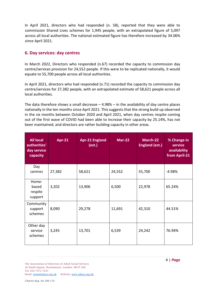In April 2021, directors who had responded (n. 58), reported that they were able to commission Shared Lives schemes for 1,945 people, with an extrapolated figure of 5,097 across all local authorities. The national estimated figure has therefore increased by 34.06% since April 2021.

#### **6. Day services: day centres**

In March 2022, Directors who responded (n.67) recorded the capacity to commission day centre/services provision for 24,552 people. If this were to be replicated nationally, it would equate to 55,700 people across all local authorities.

In April 2021, directors who had responded (n.71) recorded the capacity to commission day centre/services for 27,382 people, with an extrapolated estimate of 58,621 people across all local authorities.

The data therefore shows a small decrease – 4.98% – in the availability of day centre places nationally in the ten months since April 2021. This suggests that the strong build up observed in the six months between October 2020 and April 2021, when day centres respite coming out of the first wave of COVID had been able to increase their capacity by 25.14%, has not been maintained, and directors are rather building capacity in other areas.

| <b>All local</b><br>authorities'<br>day service<br>capacity | <b>Apr-21</b> | <b>Apr-21 England</b><br>(est.) | <b>Mar-22</b> | March-22<br><b>England (est.)</b> | % Change in<br>service<br>availability<br>from April-21 |
|-------------------------------------------------------------|---------------|---------------------------------|---------------|-----------------------------------|---------------------------------------------------------|
| Day<br>centres                                              | 27,382        | 58,621                          | 24,552        | 55,700                            | $-4.98%$                                                |
| Home-<br>based<br>respite<br>support                        | 3,202         | 13,906                          | 6,500         | 22,978                            | 65.24%                                                  |
| Community<br>support<br>schemes                             | 8,090         | 29,278                          | 11,691        | 42,310                            | 44.51%                                                  |
| Other day<br>service<br>schemes                             | 3,245         | 13,701                          | 6,539         | 24,242                            | 76.94%                                                  |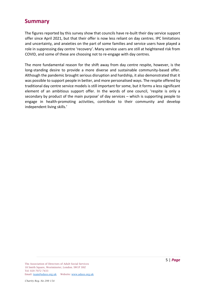# **Summary**

The figures reported by this survey show that councils have re-built their day service support offer since April 2021, but that their offer is now less reliant on day centres. IPC limitations and uncertainty, and anxieties on the part of some families and service users have played a role in suppressing day centre 'recovery'. Many service users are still at heightened risk from COVID, and some of these are choosing not to re-engage with day centres.

The more fundamental reason for the shift away from day centre respite, however, is the long-standing desire to provide a more diverse and sustainable community-based offer. Although the pandemic brought serious disruption and hardship, it also demonstrated that it was possible to support people in better, and more personalised ways. The respite offered by traditional day centre service models is still important for some, but it forms a less significant element of an ambitious support offer. In the words of one council, 'respite is only a secondary by product of the main purpose' of day services – which is supporting people to engage in health-promoting activities, contribute to their community and develop independent living skills.'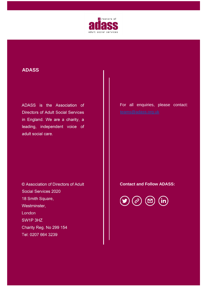

#### **ADASS**

ADASS is the Association of **Directors of Adult Social Services** in England. We are a charity, a leading, independent voice of adult social care.

© Association of Directors of Adult Social Services 2020 18 Smith Square, Westminster, London SW1P 3HZ Charity Reg. No 299 154 Tel: 0207 664 3239

For all enquiries, please contact: [teams@adass.org.uk](mailto:teams@adass.org.uk)

#### **Contact and Follow ADASS:**